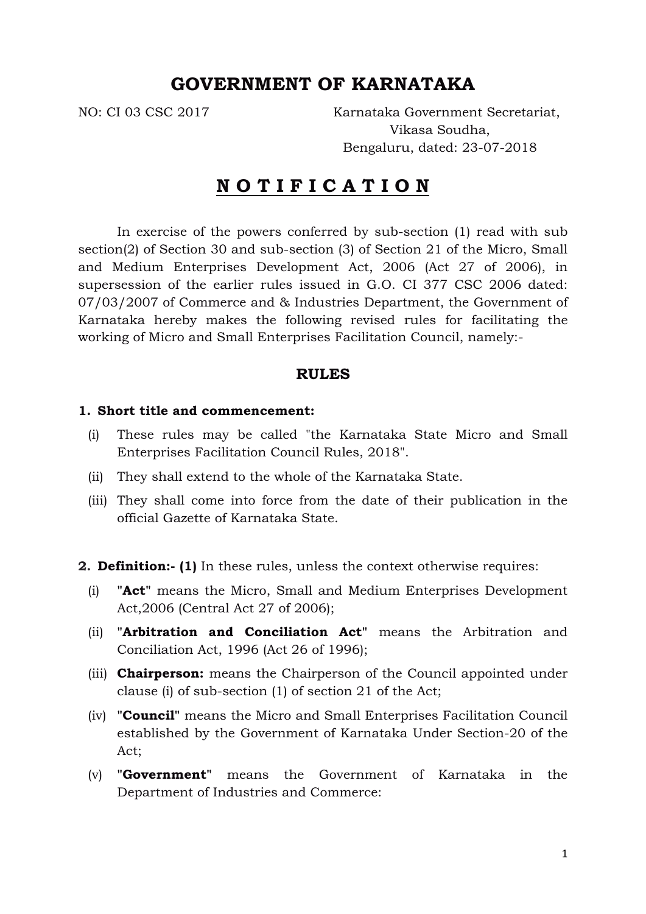# **GOVERNMENT OF KARNATAKA**

NO: CI 03 CSC 2017 Karnataka Government Secretariat, Vikasa Soudha, Bengaluru, dated: 23-07-2018

# **N O T I F I C A T I O N**

In exercise of the powers conferred by sub-section (1) read with sub section(2) of Section 30 and sub-section (3) of Section 21 of the Micro, Small and Medium Enterprises Development Act, 2006 (Act 27 of 2006), in supersession of the earlier rules issued in G.O. CI 377 CSC 2006 dated: 07/03/2007 of Commerce and & Industries Department, the Government of Karnataka hereby makes the following revised rules for facilitating the working of Micro and Small Enterprises Facilitation Council, namely:-

#### **RULES**

#### **1. Short title and commencement:**

- (i) These rules may be called "the Karnataka State Micro and Small Enterprises Facilitation Council Rules, 2018".
- (ii) They shall extend to the whole of the Karnataka State.
- (iii) They shall come into force from the date of their publication in the official Gazette of Karnataka State.

**2. Definition:- (1)** In these rules, unless the context otherwise requires:

- (i) **"Act"** means the Micro, Small and Medium Enterprises Development Act,2006 (Central Act 27 of 2006);
- (ii) **"Arbitration and Conciliation Act"** means the Arbitration and Conciliation Act, 1996 (Act 26 of 1996);
- (iii) **Chairperson:** means the Chairperson of the Council appointed under clause (i) of sub-section (1) of section 21 of the Act;
- (iv) **"Council"** means the Micro and Small Enterprises Facilitation Council established by the Government of Karnataka Under Section-20 of the Act;
- (v) **"Government"** means the Government of Karnataka in the Department of Industries and Commerce: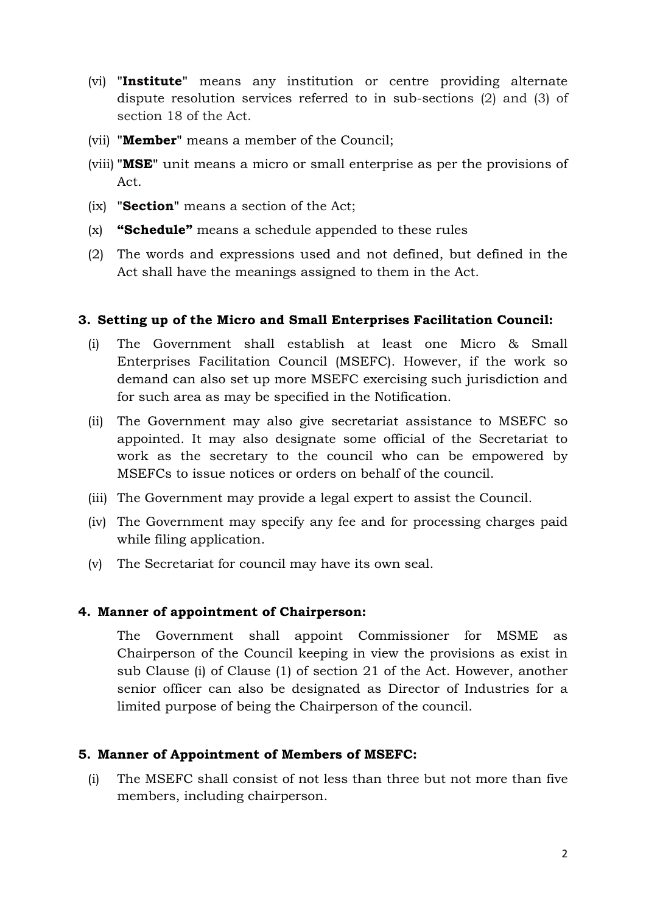- (vi) **"Institute"** means any institution or centre providing alternate dispute resolution services referred to in sub-sections (2) and (3) of section 18 of the Act.
- (vii) **"Member"** means a member of the Council;
- (viii) **"MSE"** unit means a micro or small enterprise as per the provisions of Act.
- (ix) **"Section"** means a section of the Act;
- (x) **"Schedule"** means a schedule appended to these rules
- (2) The words and expressions used and not defined, but defined in the Act shall have the meanings assigned to them in the Act.

## **3. Setting up of the Micro and Small Enterprises Facilitation Council:**

- (i) The Government shall establish at least one Micro & Small Enterprises Facilitation Council (MSEFC). However, if the work so demand can also set up more MSEFC exercising such jurisdiction and for such area as may be specified in the Notification.
- (ii) The Government may also give secretariat assistance to MSEFC so appointed. It may also designate some official of the Secretariat to work as the secretary to the council who can be empowered by MSEFCs to issue notices or orders on behalf of the council.
- (iii) The Government may provide a legal expert to assist the Council.
- (iv) The Government may specify any fee and for processing charges paid while filing application.
- (v) The Secretariat for council may have its own seal.

## **4. Manner of appointment of Chairperson:**

The Government shall appoint Commissioner for MSME as Chairperson of the Council keeping in view the provisions as exist in sub Clause (i) of Clause (1) of section 21 of the Act. However, another senior officer can also be designated as Director of Industries for a limited purpose of being the Chairperson of the council.

## **5. Manner of Appointment of Members of MSEFC:**

(i) The MSEFC shall consist of not less than three but not more than five members, including chairperson.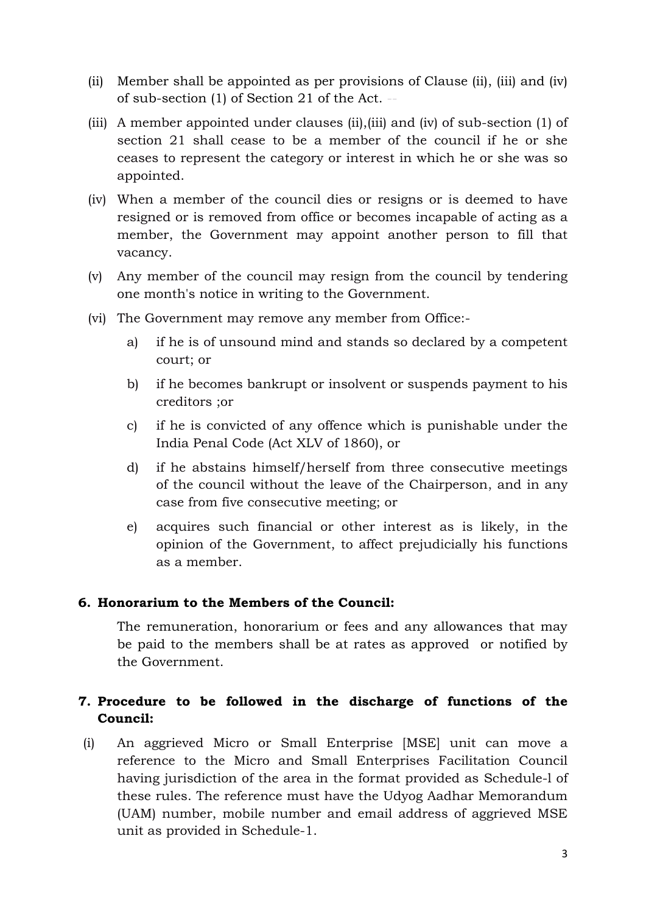- (ii) Member shall be appointed as per provisions of Clause (ii), (iii) and (iv) of sub-section  $(1)$  of Section  $21$  of the Act.
- (iii) A member appointed under clauses (ii),(iii) and (iv) of sub-section (1) of section 21 shall cease to be a member of the council if he or she ceases to represent the category or interest in which he or she was so appointed.
- (iv) When a member of the council dies or resigns or is deemed to have resigned or is removed from office or becomes incapable of acting as a member, the Government may appoint another person to fill that vacancy.
- (v) Any member of the council may resign from the council by tendering one month's notice in writing to the Government.
- (vi) The Government may remove any member from Office:
	- a) if he is of unsound mind and stands so declared by a competent court; or
	- b) if he becomes bankrupt or insolvent or suspends payment to his creditors ;or
	- c) if he is convicted of any offence which is punishable under the India Penal Code (Act XLV of 1860), or
	- d) if he abstains himself/herself from three consecutive meetings of the council without the leave of the Chairperson, and in any case from five consecutive meeting; or
	- e) acquires such financial or other interest as is likely, in the opinion of the Government, to affect prejudicially his functions as a member.

## **6. Honorarium to the Members of the Council:**

The remuneration, honorarium or fees and any allowances that may be paid to the members shall be at rates as approved or notified by the Government.

# **7. Procedure to be followed in the discharge of functions of the Council:**

(i) An aggrieved Micro or Small Enterprise [MSE] unit can move a reference to the Micro and Small Enterprises Facilitation Council having jurisdiction of the area in the format provided as Schedule-l of these rules. The reference must have the Udyog Aadhar Memorandum (UAM) number, mobile number and email address of aggrieved MSE unit as provided in Schedule-1.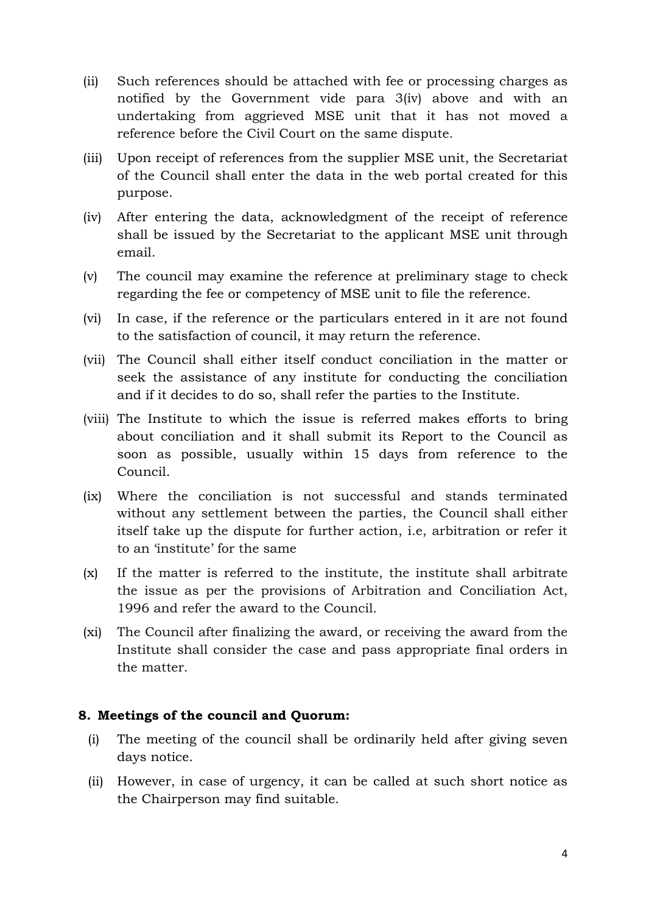- (ii) Such references should be attached with fee or processing charges as notified by the Government vide para 3(iv) above and with an undertaking from aggrieved MSE unit that it has not moved a reference before the Civil Court on the same dispute.
- (iii) Upon receipt of references from the supplier MSE unit, the Secretariat of the Council shall enter the data in the web portal created for this purpose.
- (iv) After entering the data, acknowledgment of the receipt of reference shall be issued by the Secretariat to the applicant MSE unit through email.
- (v) The council may examine the reference at preliminary stage to check regarding the fee or competency of MSE unit to file the reference.
- (vi) In case, if the reference or the particulars entered in it are not found to the satisfaction of council, it may return the reference.
- (vii) The Council shall either itself conduct conciliation in the matter or seek the assistance of any institute for conducting the conciliation and if it decides to do so, shall refer the parties to the Institute.
- (viii) The Institute to which the issue is referred makes efforts to bring about conciliation and it shall submit its Report to the Council as soon as possible, usually within 15 days from reference to the Council.
- (ix) Where the conciliation is not successful and stands terminated without any settlement between the parties, the Council shall either itself take up the dispute for further action, i.e, arbitration or refer it to an 'institute' for the same
- (x) If the matter is referred to the institute, the institute shall arbitrate the issue as per the provisions of Arbitration and Conciliation Act, 1996 and refer the award to the Council.
- (xi) The Council after finalizing the award, or receiving the award from the Institute shall consider the case and pass appropriate final orders in the matter.

### **8. Meetings of the council and Quorum:**

- (i) The meeting of the council shall be ordinarily held after giving seven days notice.
- (ii) However, in case of urgency, it can be called at such short notice as the Chairperson may find suitable.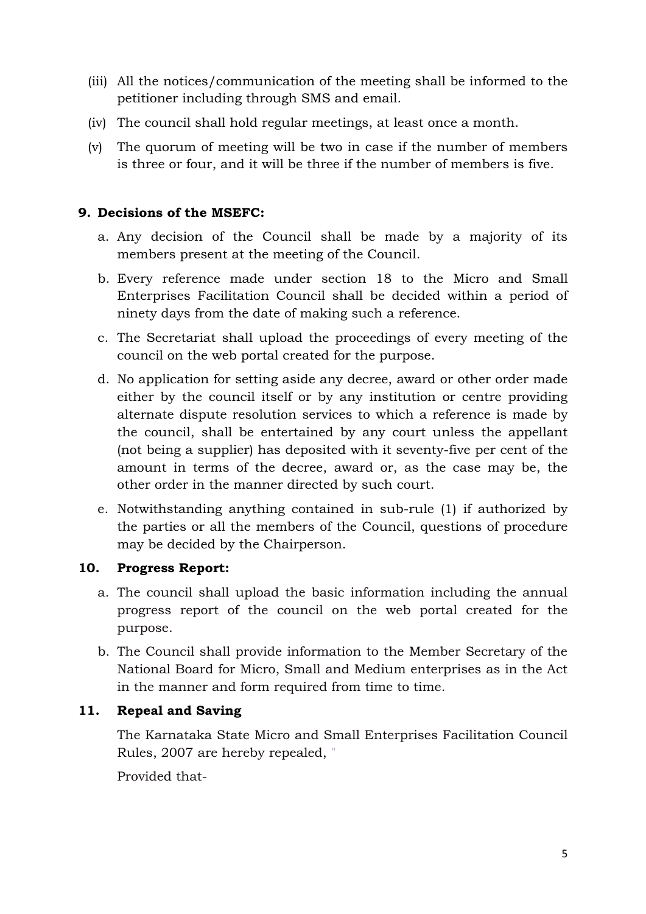- (iii) All the notices/communication of the meeting shall be informed to the petitioner including through SMS and email.
- (iv) The council shall hold regular meetings, at least once a month.
- (v) The quorum of meeting will be two in case if the number of members is three or four, and it will be three if the number of members is five.

# **9. Decisions of the MSEFC:**

- a. Any decision of the Council shall be made by a majority of its members present at the meeting of the Council.
- b. Every reference made under section 18 to the Micro and Small Enterprises Facilitation Council shall be decided within a period of ninety days from the date of making such a reference.
- c. The Secretariat shall upload the proceedings of every meeting of the council on the web portal created for the purpose.
- d. No application for setting aside any decree, award or other order made either by the council itself or by any institution or centre providing alternate dispute resolution services to which a reference is made by the council, shall be entertained by any court unless the appellant (not being a supplier) has deposited with it seventy-five per cent of the amount in terms of the decree, award or, as the case may be, the other order in the manner directed by such court.
- e. Notwithstanding anything contained in sub-rule (1) if authorized by the parties or all the members of the Council, questions of procedure may be decided by the Chairperson.

## **10. Progress Report:**

- a. The council shall upload the basic information including the annual progress report of the council on the web portal created for the purpose.
- b. The Council shall provide information to the Member Secretary of the National Board for Micro, Small and Medium enterprises as in the Act in the manner and form required from time to time.

# **11. Repeal and Saving**

The Karnataka State Micro and Small Enterprises Facilitation Council Rules, 2007 are hereby repealed, "

Provided that-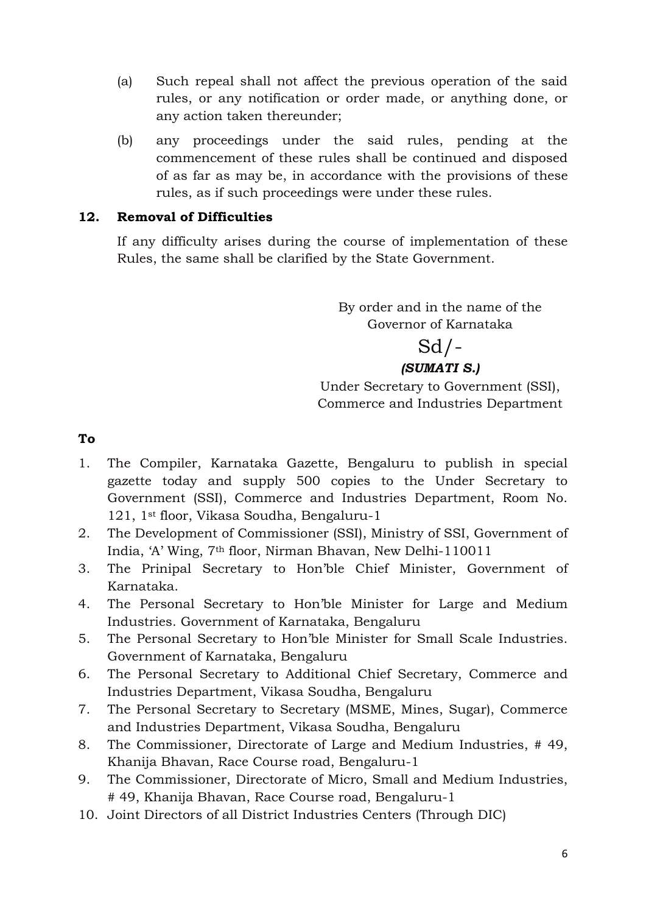- (a) Such repeal shall not affect the previous operation of the said rules, or any notification or order made, or anything done, or any action taken thereunder;
- (b) any proceedings under the said rules, pending at the commencement of these rules shall be continued and disposed of as far as may be, in accordance with the provisions of these rules, as if such proceedings were under these rules.

## **12. Removal of Difficulties**

If any difficulty arises during the course of implementation of these Rules, the same shall be clarified by the State Government.

> By order and in the name of the Governor of Karnataka

# $Sd$  / -*(SUMATI S.)*

Under Secretary to Government (SSI), Commerce and Industries Department

**To**

- 1. The Compiler, Karnataka Gazette, Bengaluru to publish in special gazette today and supply 500 copies to the Under Secretary to Government (SSI), Commerce and Industries Department, Room No. 121, 1st floor, Vikasa Soudha, Bengaluru-1
- 2. The Development of Commissioner (SSI), Ministry of SSI, Government of India, 'A' Wing, 7th floor, Nirman Bhavan, New Delhi-110011
- 3. The Prinipal Secretary to Hon'ble Chief Minister, Government of Karnataka.
- 4. The Personal Secretary to Hon'ble Minister for Large and Medium Industries. Government of Karnataka, Bengaluru
- 5. The Personal Secretary to Hon'ble Minister for Small Scale Industries. Government of Karnataka, Bengaluru
- 6. The Personal Secretary to Additional Chief Secretary, Commerce and Industries Department, Vikasa Soudha, Bengaluru
- 7. The Personal Secretary to Secretary (MSME, Mines, Sugar), Commerce and Industries Department, Vikasa Soudha, Bengaluru
- 8. The Commissioner, Directorate of Large and Medium Industries, # 49, Khanija Bhavan, Race Course road, Bengaluru-1
- 9. The Commissioner, Directorate of Micro, Small and Medium Industries, # 49, Khanija Bhavan, Race Course road, Bengaluru-1
- 10. Joint Directors of all District Industries Centers (Through DIC)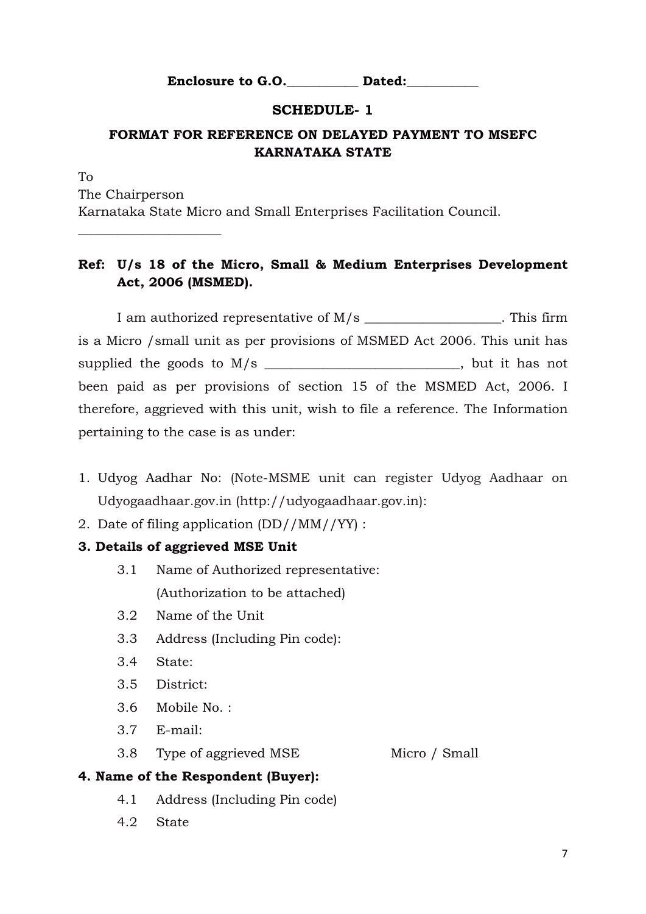**Enclosure to G.O.** Dated:

### **SCHEDULE- 1**

# **FORMAT FOR REFERENCE ON DELAYED PAYMENT TO MSEFC KARNATAKA STATE**

To The Chairperson Karnataka State Micro and Small Enterprises Facilitation Council.

## **Ref: U/s 18 of the Micro, Small & Medium Enterprises Development Act, 2006 (MSMED).**

I am authorized representative of M/s This firm is a Micro /small unit as per provisions of MSMED Act 2006. This unit has supplied the goods to M/s and the supplied the goods to M/s and the supplied the goods to M/s and the supplied the good supplied the good supplied the good supplied the good supplied the good supplied the good supplied the been paid as per provisions of section 15 of the MSMED Act, 2006. I therefore, aggrieved with this unit, wish to file a reference. The Information pertaining to the case is as under:

- 1. Udyog Aadhar No: (Note-MSME unit can register Udyog Aadhaar on Udyogaadhaar.gov.in (http://udyogaadhaar.gov.in):
- 2. Date of filing application (DD//MM//YY) :

### **3. Details of aggrieved MSE Unit**

- 3.1 Name of Authorized representative: (Authorization to be attached)
- 3.2 Name of the Unit
- 3.3 Address (Including Pin code):
- 3.4 State:

\_\_\_\_\_\_\_\_\_\_\_\_\_\_\_\_\_\_\_\_\_\_

- 3.5 District:
- 3.6 Mobile No. :
- 3.7 E-mail:
- 3.8 Type of aggrieved MSE Micro / Small

#### **4. Name of the Respondent (Buyer):**

- 4.1 Address (Including Pin code)
- 4.2 State